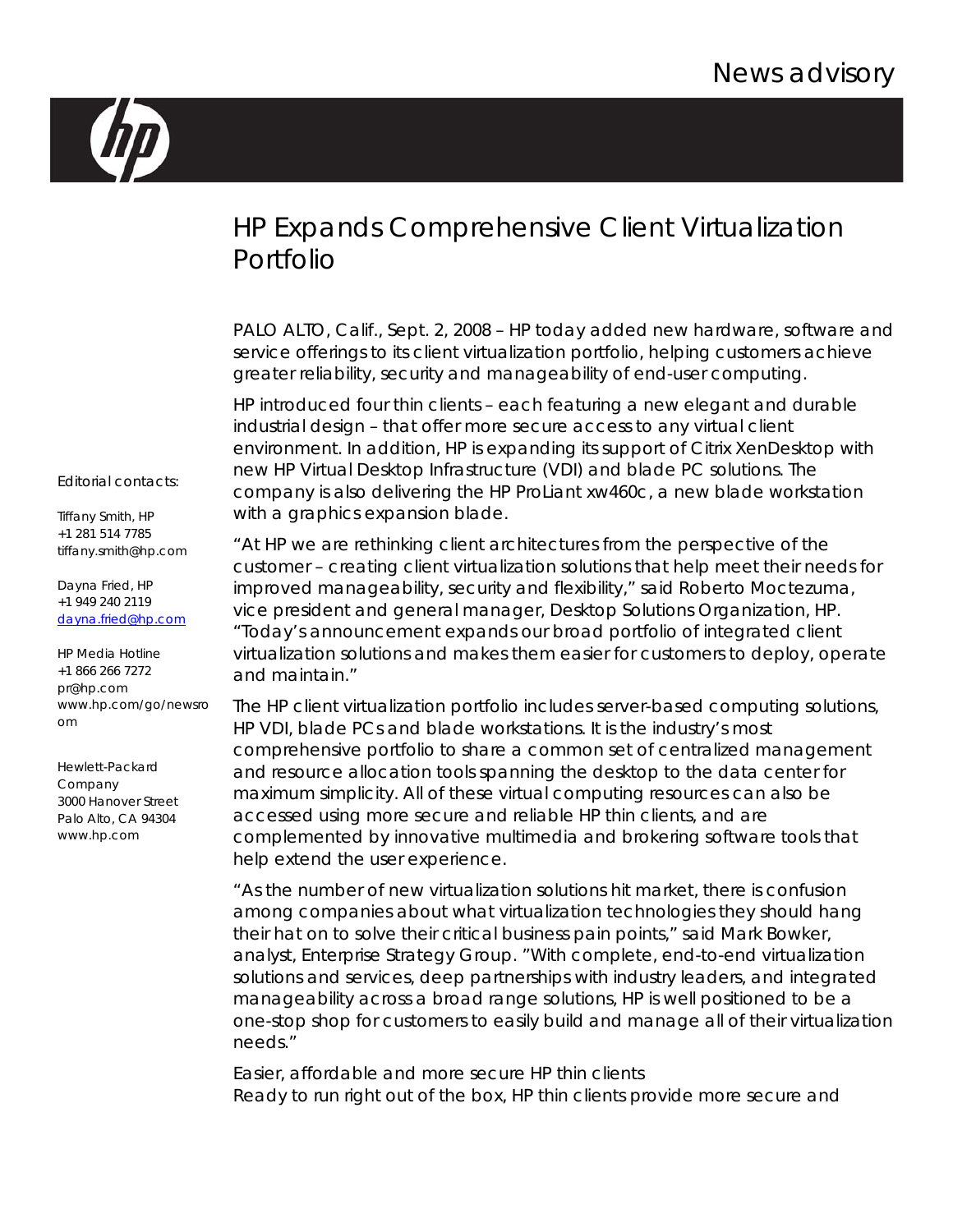

## HP Expands Comprehensive Client Virtualization Portfolio

PALO ALTO, Calif., Sept. 2, 2008 – HP today added new hardware, software and service offerings to its client virtualization portfolio, helping customers achieve greater reliability, security and manageability of end-user computing.

HP introduced four thin clients – each featuring a new elegant and durable industrial design – that offer more secure access to any virtual client environment. In addition, HP is expanding its support of Citrix XenDesktop with new HP Virtual Desktop Infrastructure (VDI) and blade PC solutions. The company is also delivering the HP ProLiant xw460c, a new blade workstation with a graphics expansion blade.

"At HP we are rethinking client architectures from the perspective of the customer – creating client virtualization solutions that help meet their needs for improved manageability, security and flexibility," said Roberto Moctezuma, vice president and general manager, Desktop Solutions Organization, HP. "Today's announcement expands our broad portfolio of integrated client virtualization solutions and makes them easier for customers to deploy, operate and maintain."

The HP client virtualization portfolio includes server-based computing solutions, HP VDI, blade PCs and blade workstations. It is the industry's most comprehensive portfolio to share a common set of centralized management and resource allocation tools spanning the desktop to the data center for maximum simplicity. All of these virtual computing resources can also be accessed using more secure and reliable HP thin clients, and are complemented by innovative multimedia and brokering software tools that help extend the user experience.

"As the number of new virtualization solutions hit market, there is confusion among companies about what virtualization technologies they should hang their hat on to solve their critical business pain points," said Mark Bowker, analyst, Enterprise Strategy Group. "With complete, end-to-end virtualization solutions and services, deep partnerships with industry leaders, and integrated manageability across a broad range solutions, HP is well positioned to be a one-stop shop for customers to easily build and manage all of their virtualization needs."

Easier, affordable and more secure HP thin clients Ready to run right out of the box, HP thin clients provide more secure and

Editorial contacts:

Tiffany Smith, HP +1 281 514 7785 tiffany.smith@hp.com

Dayna Fried, HP +1 949 240 2119 [dayna.fried@hp.com](mailto:xxxxx.xxxxxx@hp.com)

HP Media Hotline +1 866 266 7272 pr@hp.com www.hp.com/go/newsro om

Hewlett-Packard Company 3000 Hanover Street Palo Alto, CA 94304 www.hp.com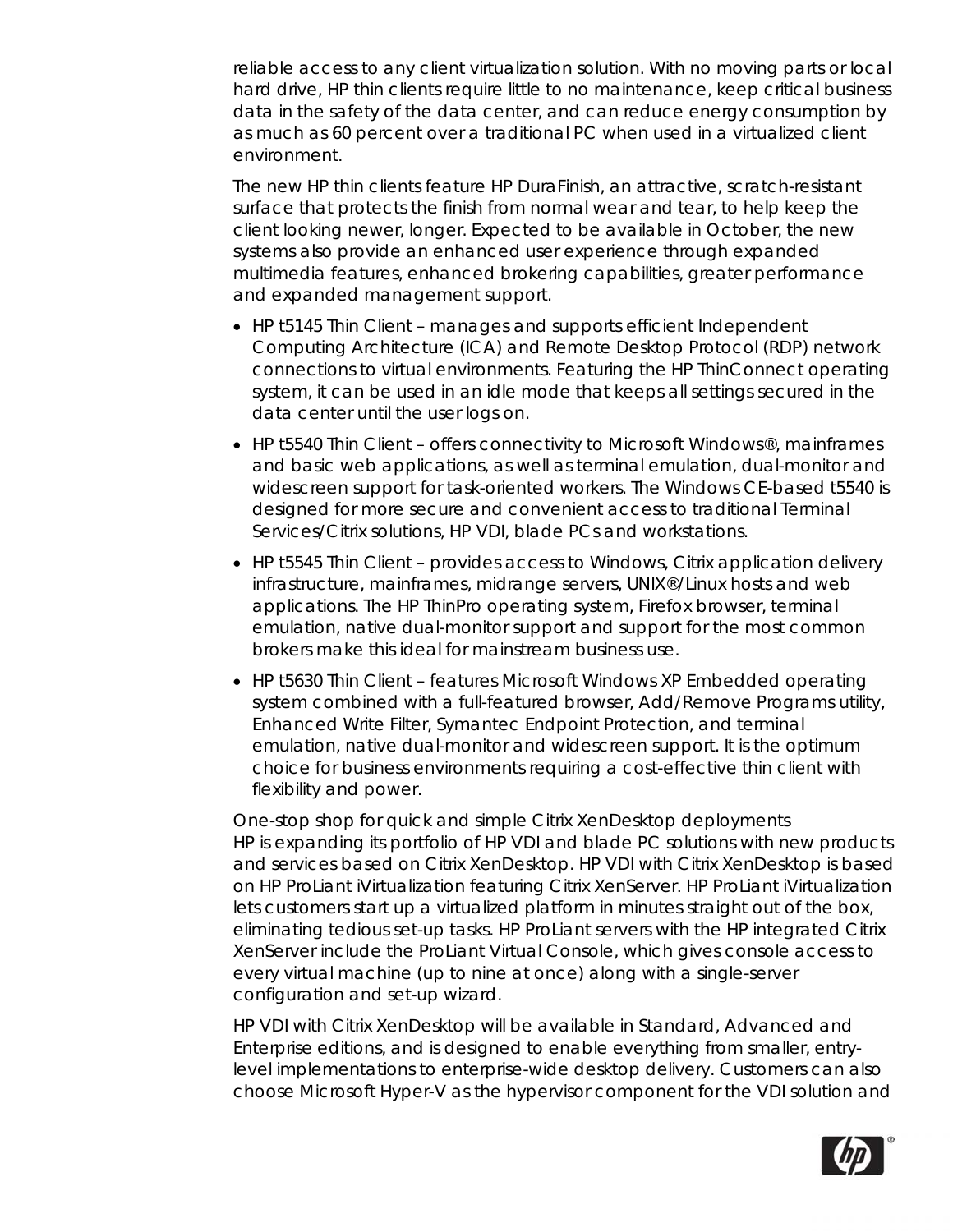reliable access to any client virtualization solution. With no moving parts or local hard drive, HP thin clients require little to no maintenance, keep critical business data in the safety of the data center, and can reduce energy consumption by as much as 60 percent over a traditional PC when used in a virtualized client environment.

The new HP thin clients feature HP DuraFinish, an attractive, scratch-resistant surface that protects the finish from normal wear and tear, to help keep the client looking newer, longer. Expected to be available in October, the new systems also provide an enhanced user experience through expanded multimedia features, enhanced brokering capabilities, greater performance and expanded management support.

- HP t5145 Thin Client manages and supports efficient Independent Computing Architecture (ICA) and Remote Desktop Protocol (RDP) network connections to virtual environments. Featuring the HP ThinConnect operating system, it can be used in an idle mode that keeps all settings secured in the data center until the user logs on.
- HP t5540 Thin Client offers connectivity to Microsoft Windows®, mainframes and basic web applications, as well as terminal emulation, dual-monitor and widescreen support for task-oriented workers. The Windows CE-based t5540 is designed for more secure and convenient access to traditional Terminal Services/Citrix solutions, HP VDI, blade PCs and workstations.
- HP t5545 Thin Client provides access to Windows, Citrix application delivery infrastructure, mainframes, midrange servers, UNIX®/Linux hosts and web applications. The HP ThinPro operating system, Firefox browser, terminal emulation, native dual-monitor support and support for the most common brokers make this ideal for mainstream business use.
- HP t5630 Thin Client features Microsoft Windows XP Embedded operating system combined with a full-featured browser, Add/Remove Programs utility, Enhanced Write Filter, Symantec Endpoint Protection, and terminal emulation, native dual-monitor and widescreen support. It is the optimum choice for business environments requiring a cost-effective thin client with flexibility and power.

One-stop shop for quick and simple Citrix XenDesktop deployments HP is expanding its portfolio of HP VDI and blade PC solutions with new products and services based on Citrix XenDesktop. HP VDI with Citrix XenDesktop is based on HP ProLiant iVirtualization featuring Citrix XenServer. HP ProLiant iVirtualization lets customers start up a virtualized platform in minutes straight out of the box, eliminating tedious set-up tasks. HP ProLiant servers with the HP integrated Citrix XenServer include the ProLiant Virtual Console, which gives console access to every virtual machine (up to nine at once) along with a single-server configuration and set-up wizard.

HP VDI with Citrix XenDesktop will be available in Standard, Advanced and Enterprise editions, and is designed to enable everything from smaller, entrylevel implementations to enterprise-wide desktop delivery. Customers can also choose Microsoft Hyper-V as the hypervisor component for the VDI solution and

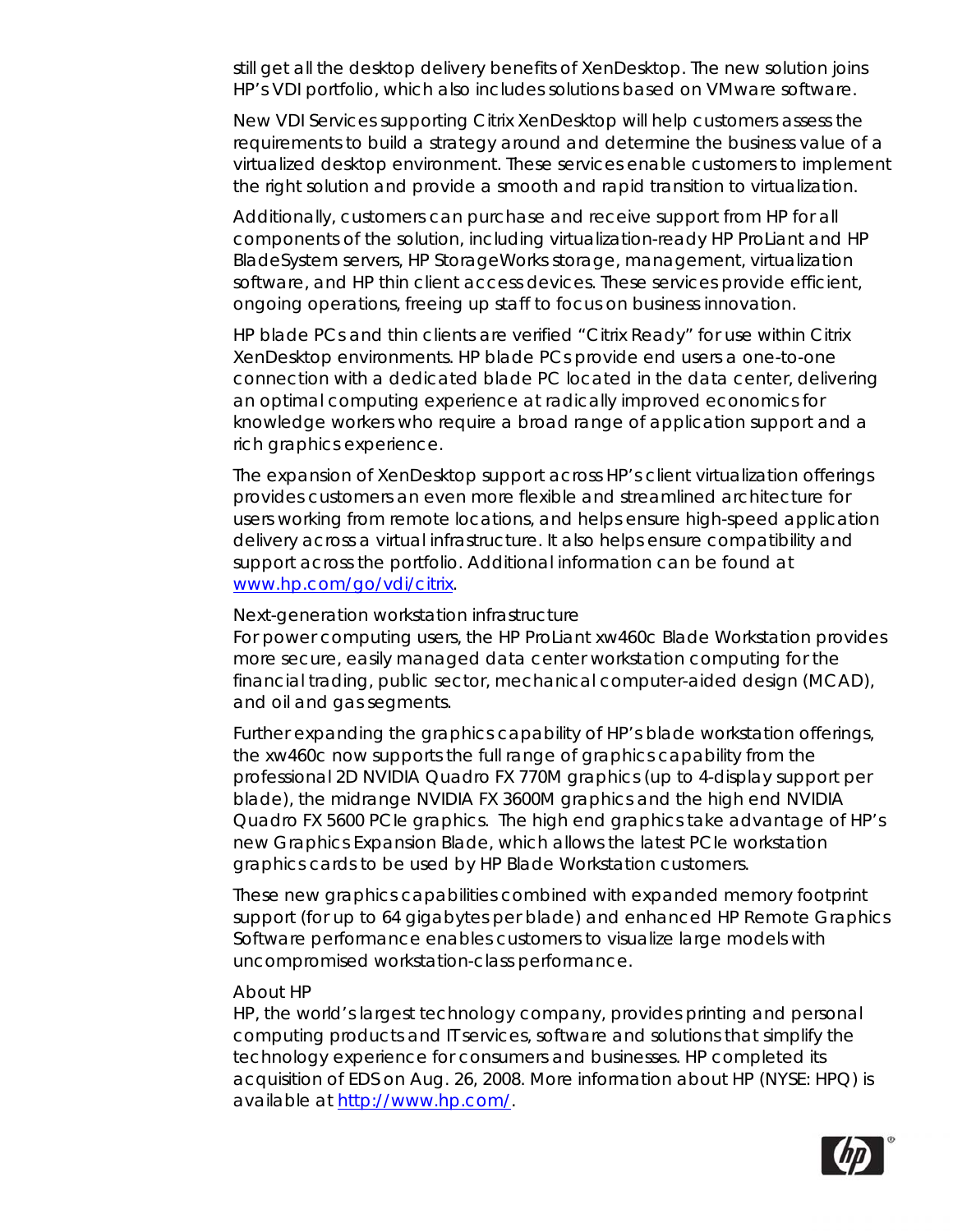still get all the desktop delivery benefits of XenDesktop. The new solution joins HP's VDI portfolio, which also includes solutions based on VMware software.

New VDI Services supporting Citrix XenDesktop will help customers assess the requirements to build a strategy around and determine the business value of a virtualized desktop environment. These services enable customers to implement the right solution and provide a smooth and rapid transition to virtualization.

Additionally, customers can purchase and receive support from HP for all components of the solution, including virtualization-ready HP ProLiant and HP BladeSystem servers, HP StorageWorks storage, management, virtualization software, and HP thin client access devices. These services provide efficient, ongoing operations, freeing up staff to focus on business innovation.

HP blade PCs and thin clients are verified "Citrix Ready" for use within Citrix XenDesktop environments. HP blade PCs provide end users a one-to-one connection with a dedicated blade PC located in the data center, delivering an optimal computing experience at radically improved economics for knowledge workers who require a broad range of application support and a rich graphics experience.

The expansion of XenDesktop support across HP's client virtualization offerings provides customers an even more flexible and streamlined architecture for users working from remote locations, and helps ensure high-speed application delivery across a virtual infrastructure. It also helps ensure compatibility and support across the portfolio. Additional information can be found at [www.hp.com/go/vdi/citrix.](http://www.hp.com/go/vdi/citrix)

## Next-generation workstation infrastructure

For power computing users, the HP ProLiant xw460c Blade Workstation provides more secure, easily managed data center workstation computing for the financial trading, public sector, mechanical computer-aided design (MCAD), and oil and gas segments.

Further expanding the graphics capability of HP's blade workstation offerings, the xw460c now supports the full range of graphics capability from the professional 2D NVIDIA Quadro FX 770M graphics (up to 4-display support per blade), the midrange NVIDIA FX 3600M graphics and the high end NVIDIA Quadro FX 5600 PCIe graphics. The high end graphics take advantage of HP's new Graphics Expansion Blade, which allows the latest PCIe workstation graphics cards to be used by HP Blade Workstation customers.

These new graphics capabilities combined with expanded memory footprint support (for up to 64 gigabytes per blade) and enhanced HP Remote Graphics Software performance enables customers to visualize large models with uncompromised workstation-class performance.

## About HP

HP, the world's largest technology company, provides printing and personal computing products and IT services, software and solutions that simplify the technology experience for consumers and businesses. HP completed its acquisition of EDS on Aug. 26, 2008. More information about HP (NYSE: HPQ) is available at <http://www.hp.com/>.